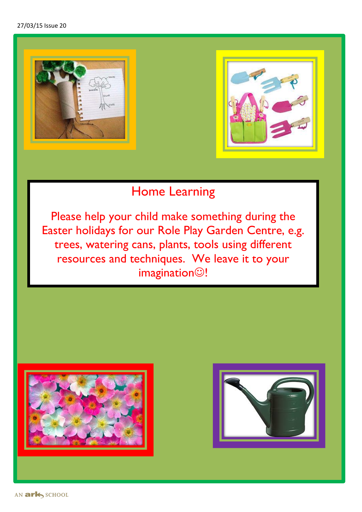



## Home Learning

Please help your child make something during the Easter holidays for our Role Play Garden Centre, e.g. trees, watering cans, plants, tools using different resources and techniques. We leave it to your  $imagination  $\odot$ !$